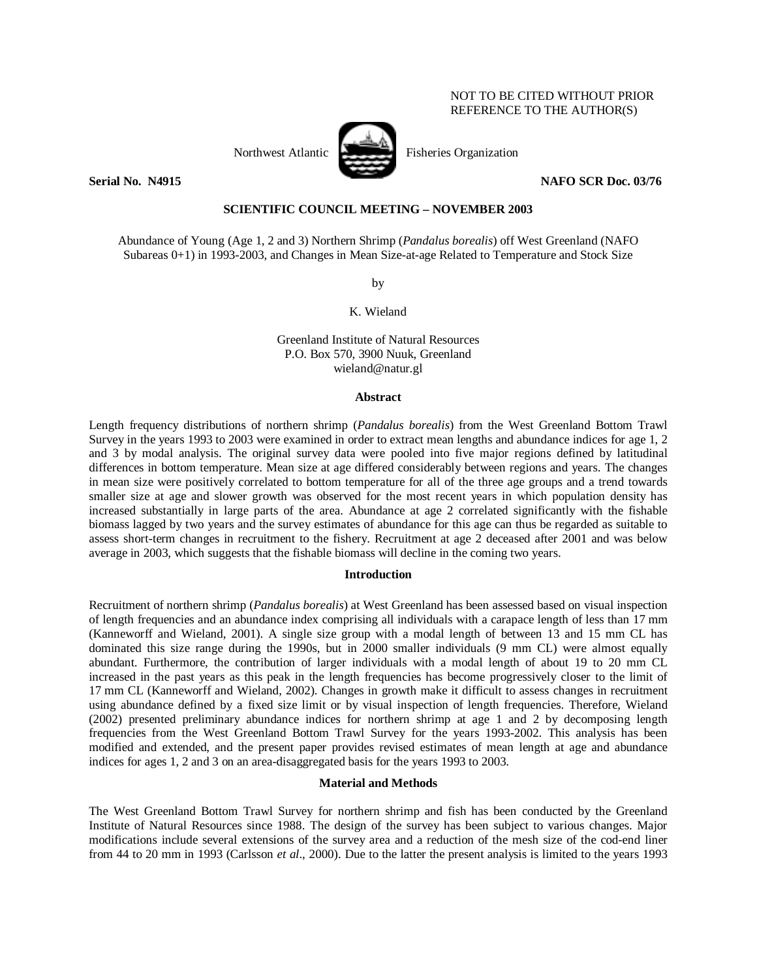# NOT TO BE CITED WITHOUT PRIOR REFERENCE TO THE AUTHOR(S)



Northwest Atlantic Fisheries Organization

**Serial No. N4915 NAFO SCR Doc. 03/76** 

# **SCIENTIFIC COUNCIL MEETING – NOVEMBER 2003**

Abundance of Young (Age 1, 2 and 3) Northern Shrimp (*Pandalus borealis*) off West Greenland (NAFO Subareas 0+1) in 1993-2003, and Changes in Mean Size-at-age Related to Temperature and Stock Size

by

K. Wieland

Greenland Institute of Natural Resources P.O. Box 570, 3900 Nuuk, Greenland wieland@natur.gl

#### **Abstract**

Length frequency distributions of northern shrimp (*Pandalus borealis*) from the West Greenland Bottom Trawl Survey in the years 1993 to 2003 were examined in order to extract mean lengths and abundance indices for age 1, 2 and 3 by modal analysis. The original survey data were pooled into five major regions defined by latitudinal differences in bottom temperature. Mean size at age differed considerably between regions and years. The changes in mean size were positively correlated to bottom temperature for all of the three age groups and a trend towards smaller size at age and slower growth was observed for the most recent years in which population density has increased substantially in large parts of the area. Abundance at age 2 correlated significantly with the fishable biomass lagged by two years and the survey estimates of abundance for this age can thus be regarded as suitable to assess short-term changes in recruitment to the fishery. Recruitment at age 2 deceased after 2001 and was below average in 2003, which suggests that the fishable biomass will decline in the coming two years.

### **Introduction**

Recruitment of northern shrimp (*Pandalus borealis*) at West Greenland has been assessed based on visual inspection of length frequencies and an abundance index comprising all individuals with a carapace length of less than 17 mm (Kanneworff and Wieland, 2001). A single size group with a modal length of between 13 and 15 mm CL has dominated this size range during the 1990s, but in 2000 smaller individuals (9 mm CL) were almost equally abundant. Furthermore, the contribution of larger individuals with a modal length of about 19 to 20 mm CL increased in the past years as this peak in the length frequencies has become progressively closer to the limit of 17 mm CL (Kanneworff and Wieland, 2002). Changes in growth make it difficult to assess changes in recruitment using abundance defined by a fixed size limit or by visual inspection of length frequencies. Therefore, Wieland (2002) presented preliminary abundance indices for northern shrimp at age 1 and 2 by decomposing length frequencies from the West Greenland Bottom Trawl Survey for the years 1993-2002. This analysis has been modified and extended, and the present paper provides revised estimates of mean length at age and abundance indices for ages 1, 2 and 3 on an area-disaggregated basis for the years 1993 to 2003.

# **Material and Methods**

The West Greenland Bottom Trawl Survey for northern shrimp and fish has been conducted by the Greenland Institute of Natural Resources since 1988. The design of the survey has been subject to various changes. Major modifications include several extensions of the survey area and a reduction of the mesh size of the cod-end liner from 44 to 20 mm in 1993 (Carlsson *et al*., 2000). Due to the latter the present analysis is limited to the years 1993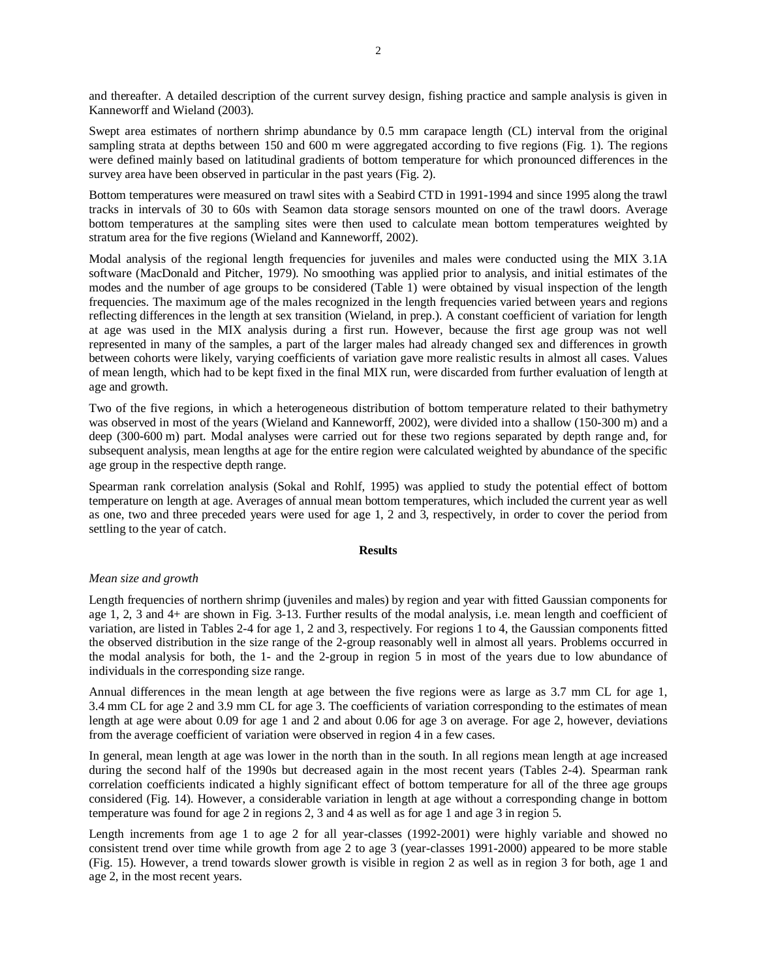and thereafter. A detailed description of the current survey design, fishing practice and sample analysis is given in Kanneworff and Wieland (2003).

Swept area estimates of northern shrimp abundance by 0.5 mm carapace length (CL) interval from the original sampling strata at depths between 150 and 600 m were aggregated according to five regions (Fig. 1). The regions were defined mainly based on latitudinal gradients of bottom temperature for which pronounced differences in the survey area have been observed in particular in the past years (Fig. 2).

Bottom temperatures were measured on trawl sites with a Seabird CTD in 1991-1994 and since 1995 along the trawl tracks in intervals of 30 to 60s with Seamon data storage sensors mounted on one of the trawl doors. Average bottom temperatures at the sampling sites were then used to calculate mean bottom temperatures weighted by stratum area for the five regions (Wieland and Kanneworff, 2002).

Modal analysis of the regional length frequencies for juveniles and males were conducted using the MIX 3.1A software (MacDonald and Pitcher, 1979). No smoothing was applied prior to analysis, and initial estimates of the modes and the number of age groups to be considered (Table 1) were obtained by visual inspection of the length frequencies. The maximum age of the males recognized in the length frequencies varied between years and regions reflecting differences in the length at sex transition (Wieland, in prep.). A constant coefficient of variation for length at age was used in the MIX analysis during a first run. However, because the first age group was not well represented in many of the samples, a part of the larger males had already changed sex and differences in growth between cohorts were likely, varying coefficients of variation gave more realistic results in almost all cases. Values of mean length, which had to be kept fixed in the final MIX run, were discarded from further evaluation of length at age and growth.

Two of the five regions, in which a heterogeneous distribution of bottom temperature related to their bathymetry was observed in most of the years (Wieland and Kanneworff, 2002), were divided into a shallow (150-300 m) and a deep (300-600 m) part. Modal analyses were carried out for these two regions separated by depth range and, for subsequent analysis, mean lengths at age for the entire region were calculated weighted by abundance of the specific age group in the respective depth range.

Spearman rank correlation analysis (Sokal and Rohlf, 1995) was applied to study the potential effect of bottom temperature on length at age. Averages of annual mean bottom temperatures, which included the current year as well as one, two and three preceded years were used for age 1, 2 and 3, respectively, in order to cover the period from settling to the year of catch.

### **Results**

### *Mean size and growth*

Length frequencies of northern shrimp (juveniles and males) by region and year with fitted Gaussian components for age 1, 2, 3 and 4+ are shown in Fig. 3-13. Further results of the modal analysis, i.e. mean length and coefficient of variation, are listed in Tables 2-4 for age 1, 2 and 3, respectively. For regions 1 to 4, the Gaussian components fitted the observed distribution in the size range of the 2-group reasonably well in almost all years. Problems occurred in the modal analysis for both, the 1- and the 2-group in region 5 in most of the years due to low abundance of individuals in the corresponding size range.

Annual differences in the mean length at age between the five regions were as large as 3.7 mm CL for age 1, 3.4 mm CL for age 2 and 3.9 mm CL for age 3. The coefficients of variation corresponding to the estimates of mean length at age were about 0.09 for age 1 and 2 and about 0.06 for age 3 on average. For age 2, however, deviations from the average coefficient of variation were observed in region 4 in a few cases.

In general, mean length at age was lower in the north than in the south. In all regions mean length at age increased during the second half of the 1990s but decreased again in the most recent years (Tables 2-4). Spearman rank correlation coefficients indicated a highly significant effect of bottom temperature for all of the three age groups considered (Fig. 14). However, a considerable variation in length at age without a corresponding change in bottom temperature was found for age 2 in regions 2, 3 and 4 as well as for age 1 and age 3 in region 5.

Length increments from age 1 to age 2 for all year-classes (1992-2001) were highly variable and showed no consistent trend over time while growth from age 2 to age 3 (year-classes 1991-2000) appeared to be more stable (Fig. 15). However, a trend towards slower growth is visible in region 2 as well as in region 3 for both, age 1 and age 2, in the most recent years.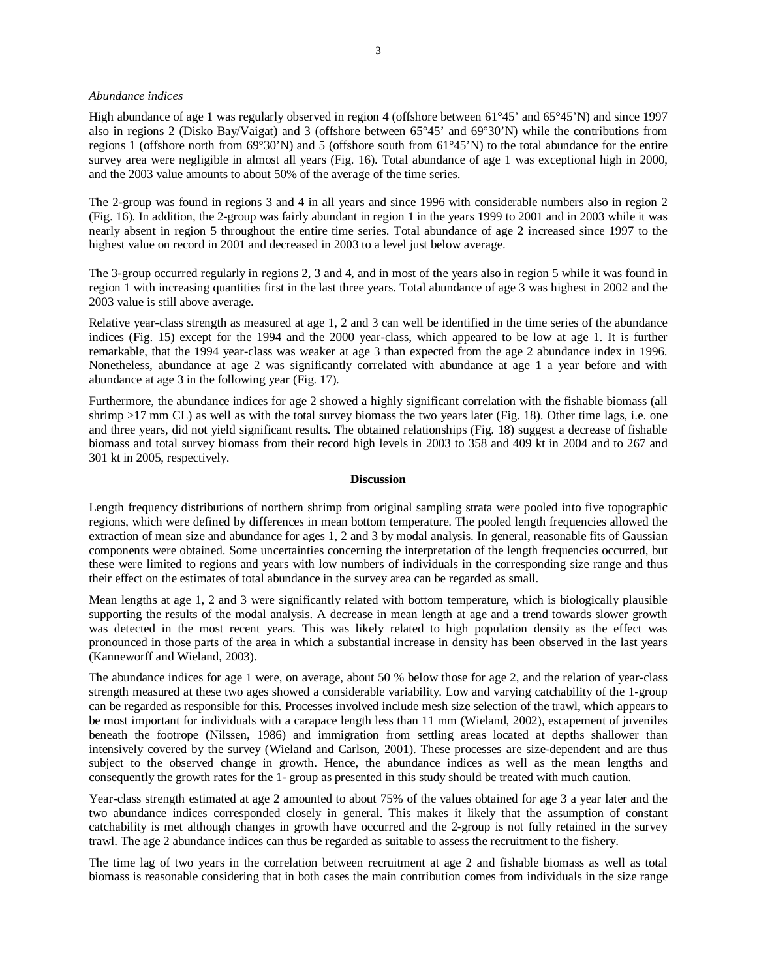#### *Abundance indices*

High abundance of age 1 was regularly observed in region 4 (offshore between 61°45' and 65°45'N) and since 1997 also in regions 2 (Disko Bay/Vaigat) and 3 (offshore between 65°45' and 69°30'N) while the contributions from regions 1 (offshore north from 69°30'N) and 5 (offshore south from 61°45'N) to the total abundance for the entire survey area were negligible in almost all years (Fig. 16). Total abundance of age 1 was exceptional high in 2000, and the 2003 value amounts to about 50% of the average of the time series.

The 2-group was found in regions 3 and 4 in all years and since 1996 with considerable numbers also in region 2 (Fig. 16). In addition, the 2-group was fairly abundant in region 1 in the years 1999 to 2001 and in 2003 while it was nearly absent in region 5 throughout the entire time series. Total abundance of age 2 increased since 1997 to the highest value on record in 2001 and decreased in 2003 to a level just below average.

The 3-group occurred regularly in regions 2, 3 and 4, and in most of the years also in region 5 while it was found in region 1 with increasing quantities first in the last three years. Total abundance of age 3 was highest in 2002 and the 2003 value is still above average.

Relative year-class strength as measured at age 1, 2 and 3 can well be identified in the time series of the abundance indices (Fig. 15) except for the 1994 and the 2000 year-class, which appeared to be low at age 1. It is further remarkable, that the 1994 year-class was weaker at age 3 than expected from the age 2 abundance index in 1996. Nonetheless, abundance at age 2 was significantly correlated with abundance at age 1 a year before and with abundance at age 3 in the following year (Fig. 17).

Furthermore, the abundance indices for age 2 showed a highly significant correlation with the fishable biomass (all shrimp >17 mm CL) as well as with the total survey biomass the two years later (Fig. 18). Other time lags, i.e. one and three years, did not yield significant results. The obtained relationships (Fig. 18) suggest a decrease of fishable biomass and total survey biomass from their record high levels in 2003 to 358 and 409 kt in 2004 and to 267 and 301 kt in 2005, respectively.

#### **Discussion**

Length frequency distributions of northern shrimp from original sampling strata were pooled into five topographic regions, which were defined by differences in mean bottom temperature. The pooled length frequencies allowed the extraction of mean size and abundance for ages 1, 2 and 3 by modal analysis. In general, reasonable fits of Gaussian components were obtained. Some uncertainties concerning the interpretation of the length frequencies occurred, but these were limited to regions and years with low numbers of individuals in the corresponding size range and thus their effect on the estimates of total abundance in the survey area can be regarded as small.

Mean lengths at age 1, 2 and 3 were significantly related with bottom temperature, which is biologically plausible supporting the results of the modal analysis. A decrease in mean length at age and a trend towards slower growth was detected in the most recent years. This was likely related to high population density as the effect was pronounced in those parts of the area in which a substantial increase in density has been observed in the last years (Kanneworff and Wieland, 2003).

The abundance indices for age 1 were, on average, about 50 % below those for age 2, and the relation of year-class strength measured at these two ages showed a considerable variability. Low and varying catchability of the 1-group can be regarded as responsible for this. Processes involved include mesh size selection of the trawl, which appears to be most important for individuals with a carapace length less than 11 mm (Wieland, 2002), escapement of juveniles beneath the footrope (Nilssen, 1986) and immigration from settling areas located at depths shallower than intensively covered by the survey (Wieland and Carlson, 2001). These processes are size-dependent and are thus subject to the observed change in growth. Hence, the abundance indices as well as the mean lengths and consequently the growth rates for the 1- group as presented in this study should be treated with much caution.

Year-class strength estimated at age 2 amounted to about 75% of the values obtained for age 3 a year later and the two abundance indices corresponded closely in general. This makes it likely that the assumption of constant catchability is met although changes in growth have occurred and the 2-group is not fully retained in the survey trawl. The age 2 abundance indices can thus be regarded as suitable to assess the recruitment to the fishery.

The time lag of two years in the correlation between recruitment at age 2 and fishable biomass as well as total biomass is reasonable considering that in both cases the main contribution comes from individuals in the size range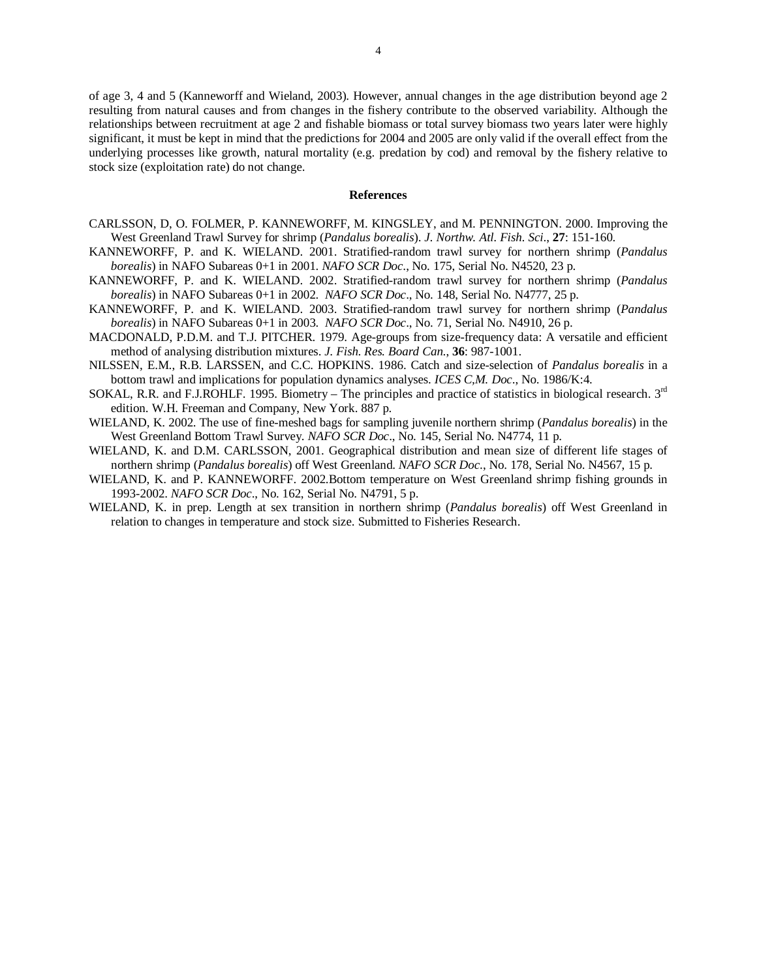of age 3, 4 and 5 (Kanneworff and Wieland, 2003). However, annual changes in the age distribution beyond age 2 resulting from natural causes and from changes in the fishery contribute to the observed variability. Although the relationships between recruitment at age 2 and fishable biomass or total survey biomass two years later were highly significant, it must be kept in mind that the predictions for 2004 and 2005 are only valid if the overall effect from the underlying processes like growth, natural mortality (e.g. predation by cod) and removal by the fishery relative to stock size (exploitation rate) do not change.

### **References**

- CARLSSON, D, O. FOLMER, P. KANNEWORFF, M. KINGSLEY, and M. PENNINGTON. 2000. Improving the West Greenland Trawl Survey for shrimp (*Pandalus borealis*). *J. Northw. Atl. Fish. Sci*., **27**: 151-160.
- KANNEWORFF, P. and K. WIELAND. 2001. Stratified-random trawl survey for northern shrimp (*Pandalus borealis*) in NAFO Subareas 0+1 in 2001. *NAFO SCR Doc*., No. 175, Serial No. N4520, 23 p.
- KANNEWORFF, P. and K. WIELAND. 2002. Stratified-random trawl survey for northern shrimp (*Pandalus borealis*) in NAFO Subareas 0+1 in 2002. *NAFO SCR Doc*., No. 148, Serial No. N4777, 25 p.
- KANNEWORFF, P. and K. WIELAND. 2003. Stratified-random trawl survey for northern shrimp (*Pandalus borealis*) in NAFO Subareas 0+1 in 2003. *NAFO SCR Doc*., No. 71, Serial No. N4910, 26 p.
- MACDONALD, P.D.M. and T.J. PITCHER. 1979. Age-groups from size-frequency data: A versatile and efficient method of analysing distribution mixtures. *J. Fish. Res. Board Can*., **36**: 987-1001.
- NILSSEN, E.M., R.B. LARSSEN, and C.C. HOPKINS. 1986. Catch and size-selection of *Pandalus borealis* in a bottom trawl and implications for population dynamics analyses. *ICES C,M. Doc*., No. 1986/K:4.
- SOKAL, R.R. and F.J.ROHLF. 1995. Biometry The principles and practice of statistics in biological research. 3<sup>rd</sup> edition. W.H. Freeman and Company, New York. 887 p.
- WIELAND, K. 2002. The use of fine-meshed bags for sampling juvenile northern shrimp (*Pandalus borealis*) in the West Greenland Bottom Trawl Survey. *NAFO SCR Doc*., No. 145, Serial No. N4774, 11 p.
- WIELAND, K. and D.M. CARLSSON, 2001. Geographical distribution and mean size of different life stages of northern shrimp (*Pandalus borealis*) off West Greenland. *NAFO SCR Doc*., No. 178, Serial No. N4567, 15 p.
- WIELAND, K. and P. KANNEWORFF. 2002.Bottom temperature on West Greenland shrimp fishing grounds in 1993-2002. *NAFO SCR Doc*., No. 162, Serial No. N4791, 5 p.
- WIELAND, K. in prep. Length at sex transition in northern shrimp (*Pandalus borealis*) off West Greenland in relation to changes in temperature and stock size. Submitted to Fisheries Research.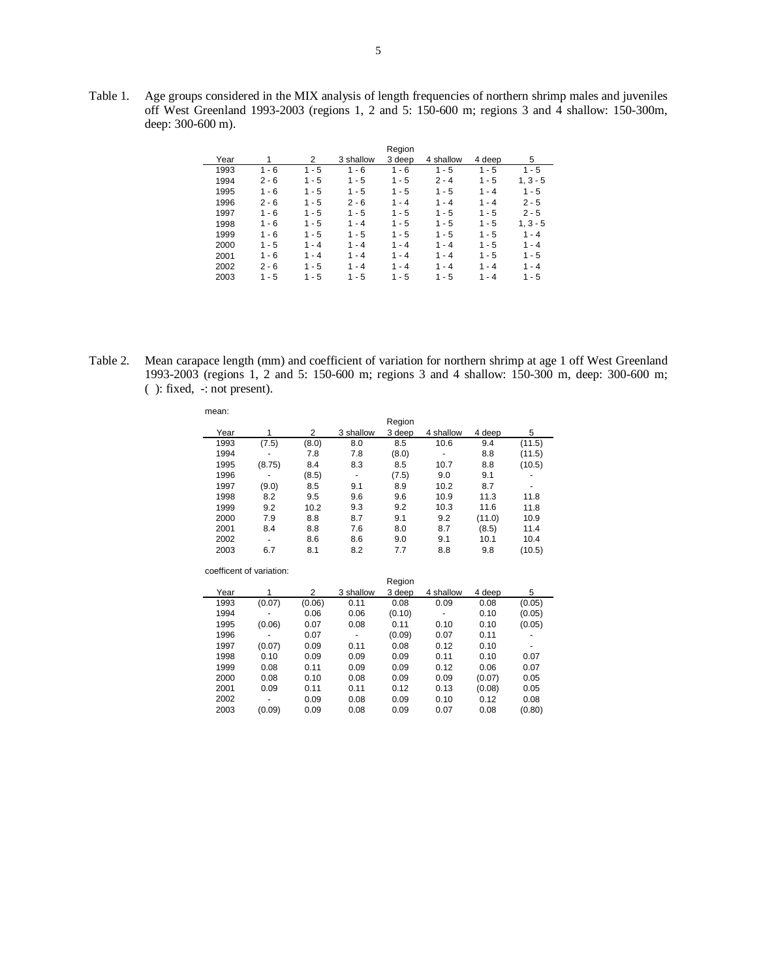Table 1. Age groups considered in the MIX analysis of length frequencies of northern shrimp males and juveniles off West Greenland 1993-2003 (regions 1, 2 and 5: 150-600 m; regions 3 and 4 shallow: 150-300m, deep: 300-600 m).

|      |         |         |           | Region  |           |         |            |
|------|---------|---------|-----------|---------|-----------|---------|------------|
| Year |         | 2       | 3 shallow | 3 deep  | 4 shallow | 4 deep  | 5          |
| 1993 | $1 - 6$ | $1 - 5$ | $1 - 6$   | $1 - 6$ | $1 - 5$   | $1 - 5$ | $1 - 5$    |
| 1994 | $2 - 6$ | $1 - 5$ | $1 - 5$   | $1 - 5$ | $2 - 4$   | $1 - 5$ | $1, 3 - 5$ |
| 1995 | $1 - 6$ | $1 - 5$ | $1 - 5$   | $1 - 5$ | $1 - 5$   | $1 - 4$ | $1 - 5$    |
| 1996 | $2 - 6$ | $1 - 5$ | $2 - 6$   | $1 - 4$ | $1 - 4$   | $1 - 4$ | $2 - 5$    |
| 1997 | $1 - 6$ | $1 - 5$ | $1 - 5$   | $1 - 5$ | $1 - 5$   | $1 - 5$ | $2 - 5$    |
| 1998 | $1 - 6$ | $1 - 5$ | $1 - 4$   | $1 - 5$ | $1 - 5$   | $1 - 5$ | $1, 3 - 5$ |
| 1999 | $1 - 6$ | $1 - 5$ | $1 - 5$   | $1 - 5$ | $1 - 5$   | $1 - 5$ | $1 - 4$    |
| 2000 | $1 - 5$ | $1 - 4$ | $1 - 4$   | $1 - 4$ | $1 - 4$   | $1 - 5$ | $1 - 4$    |
| 2001 | $1 - 6$ | $1 - 4$ | $1 - 4$   | $1 - 4$ | $1 - 4$   | $1 - 5$ | $1 - 5$    |
| 2002 | $2 - 6$ | $1 - 5$ | $1 - 4$   | $1 - 4$ | $1 - 4$   | $1 - 4$ | $1 - 4$    |
| 2003 | 1 - 5   | $1 - 5$ | $1 - 5$   | 1 - 5   | $1 - 5$   | $1 - 4$ | $1 - 5$    |

| Table 2. | Mean carapace length (mm) and coefficient of variation for northern shrimp at age 1 off West Greenland |
|----------|--------------------------------------------------------------------------------------------------------|
|          | 1993-2003 (regions 1, 2 and 5: 150-600 m; regions 3 and 4 shallow: 150-300 m, deep: 300-600 m;         |
|          | $\left( \right)$ : fixed, $\left( \right)$ : not present).                                             |

| mean: |        |       |           |        |           |        |        |
|-------|--------|-------|-----------|--------|-----------|--------|--------|
|       |        |       |           | Region |           |        |        |
| Year  |        | 2     | 3 shallow | 3 deep | 4 shallow | 4 deep | 5      |
| 1993  | (7.5)  | (8.0) | 8.0       | 8.5    | 10.6      | 9.4    | (11.5) |
| 1994  |        | 7.8   | 7.8       | (8.0)  | -         | 8.8    | (11.5) |
| 1995  | (8.75) | 8.4   | 8.3       | 8.5    | 10.7      | 8.8    | (10.5) |
| 1996  | -      | (8.5) | ٠         | (7.5)  | 9.0       | 9.1    | ٠      |
| 1997  | (9.0)  | 8.5   | 9.1       | 8.9    | 10.2      | 8.7    | ٠      |
| 1998  | 8.2    | 9.5   | 9.6       | 9.6    | 10.9      | 11.3   | 11.8   |
| 1999  | 9.2    | 10.2  | 9.3       | 9.2    | 10.3      | 11.6   | 11.8   |
| 2000  | 7.9    | 8.8   | 8.7       | 9.1    | 9.2       | (11.0) | 10.9   |
| 2001  | 8.4    | 8.8   | 7.6       | 8.0    | 8.7       | (8.5)  | 11.4   |
| 2002  | ٠      | 8.6   | 8.6       | 9.0    | 9.1       | 10.1   | 10.4   |
| 2003  | 6.7    | 8.1   | 8.2       | 7.7    | 8.8       | 9.8    | (10.5) |

| coefficent of variation: |        |        |           |        |           |        |        |  |  |  |
|--------------------------|--------|--------|-----------|--------|-----------|--------|--------|--|--|--|
| Region                   |        |        |           |        |           |        |        |  |  |  |
| Year                     |        | 2      | 3 shallow | 3 deep | 4 shallow | 4 deep | 5      |  |  |  |
| 1993                     | (0.07) | (0.06) | 0.11      | 0.08   | 0.09      | 0.08   | (0.05) |  |  |  |
| 1994                     | -      | 0.06   | 0.06      | (0.10) | ٠         | 0.10   | (0.05) |  |  |  |
| 1995                     | (0.06) | 0.07   | 0.08      | 0.11   | 0.10      | 0.10   | (0.05) |  |  |  |
| 1996                     | -      | 0.07   | ٠         | (0.09) | 0.07      | 0.11   | -      |  |  |  |
| 1997                     | (0.07) | 0.09   | 0.11      | 0.08   | 0.12      | 0.10   | ٠      |  |  |  |
| 1998                     | 0.10   | 0.09   | 0.09      | 0.09   | 0.11      | 0.10   | 0.07   |  |  |  |
| 1999                     | 0.08   | 0.11   | 0.09      | 0.09   | 0.12      | 0.06   | 0.07   |  |  |  |
| 2000                     | 0.08   | 0.10   | 0.08      | 0.09   | 0.09      | (0.07) | 0.05   |  |  |  |
| 2001                     | 0.09   | 0.11   | 0.11      | 0.12   | 0.13      | (0.08) | 0.05   |  |  |  |
| 2002                     | ۰      | 0.09   | 0.08      | 0.09   | 0.10      | 0.12   | 0.08   |  |  |  |
| 2003                     | (0.09) | 0.09   | 0.08      | 0.09   | 0.07      | 0.08   | (0.80) |  |  |  |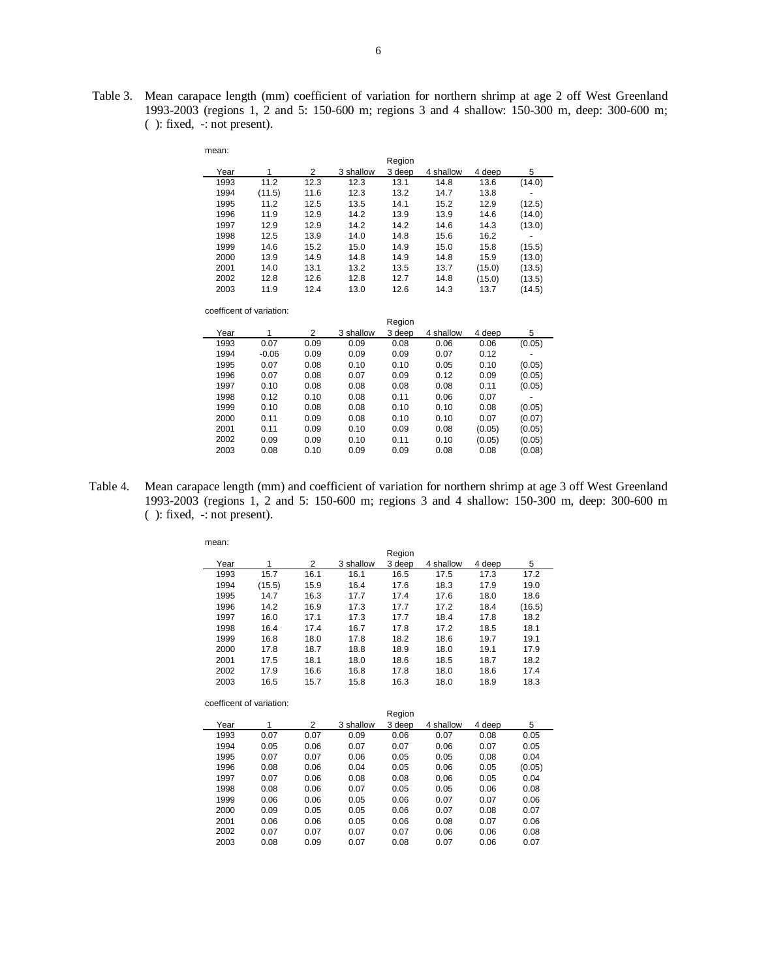Table 3. Mean carapace length (mm) coefficient of variation for northern shrimp at age 2 off West Greenland 1993-2003 (regions 1, 2 and 5: 150-600 m; regions 3 and 4 shallow: 150-300 m, deep: 300-600 m; ( ): fixed, -: not present).

| mean: |        |      |           |        |           |        |        |
|-------|--------|------|-----------|--------|-----------|--------|--------|
|       |        |      |           | Region |           |        |        |
| Year  |        | 2    | 3 shallow | 3 deep | 4 shallow | 4 deep | 5      |
| 1993  | 11.2   | 12.3 | 12.3      | 13.1   | 14.8      | 13.6   | (14.0) |
| 1994  | (11.5) | 11.6 | 12.3      | 13.2   | 14.7      | 13.8   |        |
| 1995  | 11.2   | 12.5 | 13.5      | 14.1   | 15.2      | 12.9   | (12.5) |
| 1996  | 11.9   | 12.9 | 14.2      | 13.9   | 13.9      | 14.6   | (14.0) |
| 1997  | 12.9   | 12.9 | 14.2      | 14.2   | 14.6      | 14.3   | (13.0) |
| 1998  | 12.5   | 13.9 | 14.0      | 14.8   | 15.6      | 16.2   | -      |
| 1999  | 14.6   | 15.2 | 15.0      | 14.9   | 15.0      | 15.8   | (15.5) |
| 2000  | 13.9   | 14.9 | 14.8      | 14.9   | 14.8      | 15.9   | (13.0) |
| 2001  | 14.0   | 13.1 | 13.2      | 13.5   | 13.7      | (15.0) | (13.5) |
| 2002  | 12.8   | 12.6 | 12.8      | 12.7   | 14.8      | (15.0) | (13.5) |
| 2003  | 11.9   | 12.4 | 13.0      | 12.6   | 14.3      | 13.7   | (14.5) |

|      |         |      |           | Region |           |        |        |
|------|---------|------|-----------|--------|-----------|--------|--------|
| Year | 1       | 2    | 3 shallow | 3 deep | 4 shallow | 4 deep | 5      |
| 1993 | 0.07    | 0.09 | 0.09      | 0.08   | 0.06      | 0.06   | (0.05) |
| 1994 | $-0.06$ | 0.09 | 0.09      | 0.09   | 0.07      | 0.12   |        |
| 1995 | 0.07    | 0.08 | 0.10      | 0.10   | 0.05      | 0.10   | (0.05) |
| 1996 | 0.07    | 0.08 | 0.07      | 0.09   | 0.12      | 0.09   | (0.05) |
| 1997 | 0.10    | 0.08 | 0.08      | 0.08   | 0.08      | 0.11   | (0.05) |
| 1998 | 0.12    | 0.10 | 0.08      | 0.11   | 0.06      | 0.07   | ۰      |
| 1999 | 0.10    | 0.08 | 0.08      | 0.10   | 0.10      | 0.08   | (0.05) |
| 2000 | 0.11    | 0.09 | 0.08      | 0.10   | 0.10      | 0.07   | (0.07) |
| 2001 | 0.11    | 0.09 | 0.10      | 0.09   | 0.08      | (0.05) | (0.05) |
| 2002 | 0.09    | 0.09 | 0.10      | 0.11   | 0.10      | (0.05) | (0.05) |
| 2003 | 0.08    | 0.10 | 0.09      | 0.09   | 0.08      | 0.08   | (0.08) |
|      |         |      |           |        |           |        |        |

Table 4. Mean carapace length (mm) and coefficient of variation for northern shrimp at age 3 off West Greenland 1993-2003 (regions 1, 2 and 5: 150-600 m; regions 3 and 4 shallow: 150-300 m, deep: 300-600 m ( ): fixed, -: not present).

| mean: |        |      |           |        |           |        |        |  |  |
|-------|--------|------|-----------|--------|-----------|--------|--------|--|--|
|       |        |      |           | Region |           |        |        |  |  |
| Year  | 1      | 2    | 3 shallow | 3 deep | 4 shallow | 4 deep | 5      |  |  |
| 1993  | 15.7   | 16.1 | 16.1      | 16.5   | 17.5      | 17.3   | 17.2   |  |  |
| 1994  | (15.5) | 15.9 | 16.4      | 17.6   | 18.3      | 17.9   | 19.0   |  |  |
| 1995  | 14.7   | 16.3 | 17.7      | 17.4   | 17.6      | 18.0   | 18.6   |  |  |
| 1996  | 14.2   | 16.9 | 17.3      | 17.7   | 17.2      | 18.4   | (16.5) |  |  |
| 1997  | 16.0   | 17.1 | 17.3      | 17.7   | 18.4      | 17.8   | 18.2   |  |  |
| 1998  | 16.4   | 17.4 | 16.7      | 17.8   | 17.2      | 18.5   | 18.1   |  |  |
| 1999  | 16.8   | 18.0 | 17.8      | 18.2   | 18.6      | 19.7   | 19.1   |  |  |
| 2000  | 17.8   | 18.7 | 18.8      | 18.9   | 18.0      | 19.1   | 17.9   |  |  |
| 2001  | 17.5   | 18.1 | 18.0      | 18.6   | 18.5      | 18.7   | 18.2   |  |  |
| 2002  | 17.9   | 16.6 | 16.8      | 17.8   | 18.0      | 18.6   | 17.4   |  |  |
| 2003  | 16.5   | 15.7 | 15.8      | 16.3   | 18.0      | 18.9   | 18.3   |  |  |

coefficent of variation:

|      |      |      |           | Region |           |        |        |
|------|------|------|-----------|--------|-----------|--------|--------|
| Year | 1    | 2    | 3 shallow | 3 deep | 4 shallow | 4 deep | 5      |
| 1993 | 0.07 | 0.07 | 0.09      | 0.06   | 0.07      | 0.08   | 0.05   |
| 1994 | 0.05 | 0.06 | 0.07      | 0.07   | 0.06      | 0.07   | 0.05   |
| 1995 | 0.07 | 0.07 | 0.06      | 0.05   | 0.05      | 0.08   | 0.04   |
| 1996 | 0.08 | 0.06 | 0.04      | 0.05   | 0.06      | 0.05   | (0.05) |
| 1997 | 0.07 | 0.06 | 0.08      | 0.08   | 0.06      | 0.05   | 0.04   |
| 1998 | 0.08 | 0.06 | 0.07      | 0.05   | 0.05      | 0.06   | 0.08   |
| 1999 | 0.06 | 0.06 | 0.05      | 0.06   | 0.07      | 0.07   | 0.06   |
| 2000 | 0.09 | 0.05 | 0.05      | 0.06   | 0.07      | 0.08   | 0.07   |
| 2001 | 0.06 | 0.06 | 0.05      | 0.06   | 0.08      | 0.07   | 0.06   |
| 2002 | 0.07 | 0.07 | 0.07      | 0.07   | 0.06      | 0.06   | 0.08   |
| 2003 | 0.08 | 0.09 | 0.07      | 0.08   | 0.07      | 0.06   | 0.07   |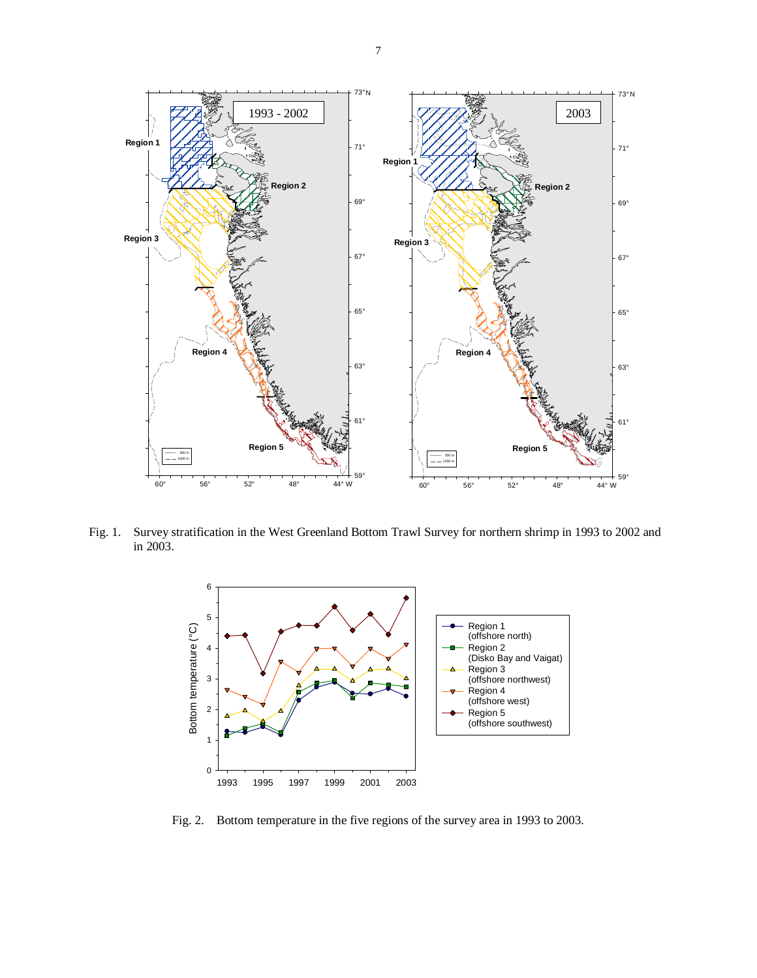

Fig. 1. Survey stratification in the West Greenland Bottom Trawl Survey for northern shrimp in 1993 to 2002 and in 2003.



Fig. 2. Bottom temperature in the five regions of the survey area in 1993 to 2003.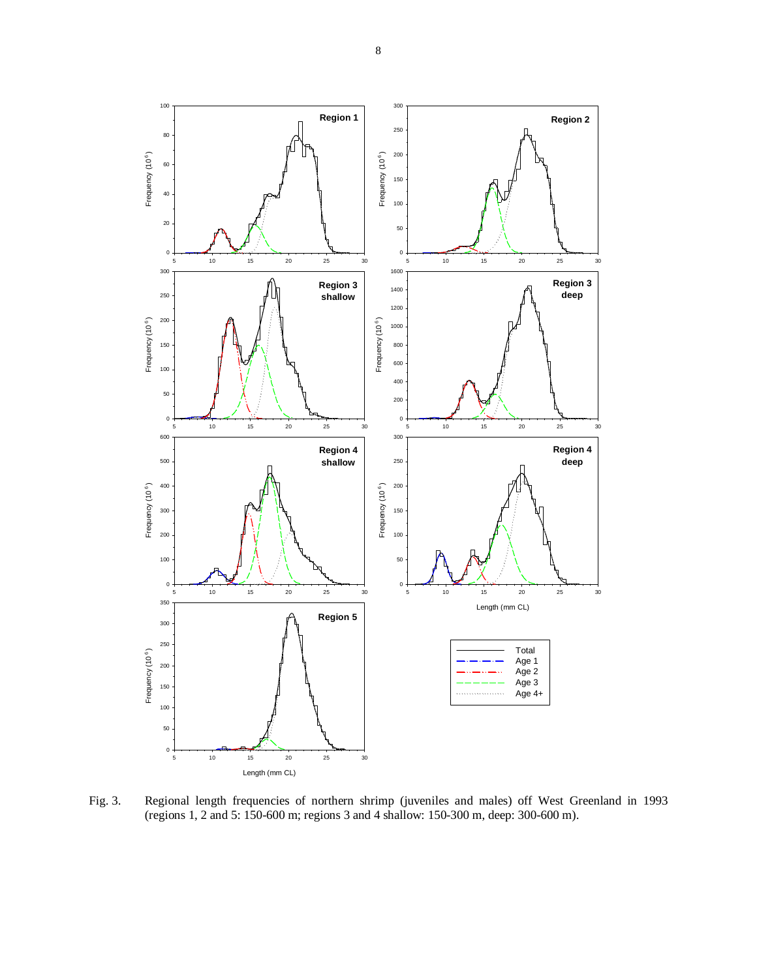

Fig. 3. Regional length frequencies of northern shrimp (juveniles and males) off West Greenland in 1993 (regions 1, 2 and 5: 150-600 m; regions 3 and 4 shallow: 150-300 m, deep: 300-600 m).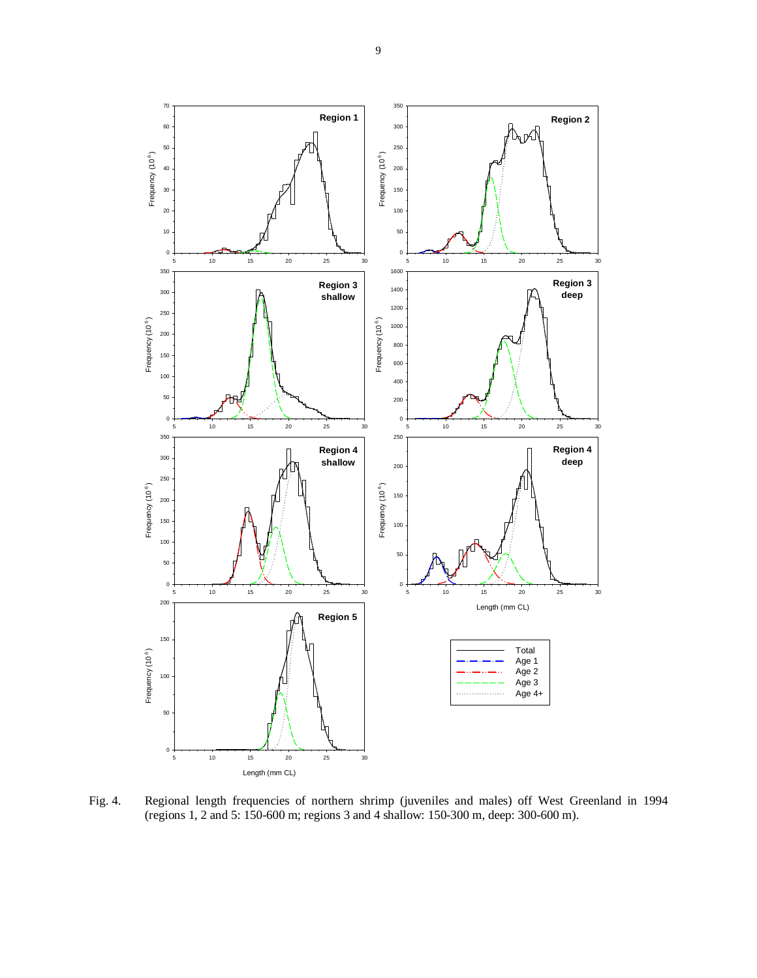

Fig. 4. Regional length frequencies of northern shrimp (juveniles and males) off West Greenland in 1994 (regions 1, 2 and 5: 150-600 m; regions 3 and 4 shallow: 150-300 m, deep: 300-600 m).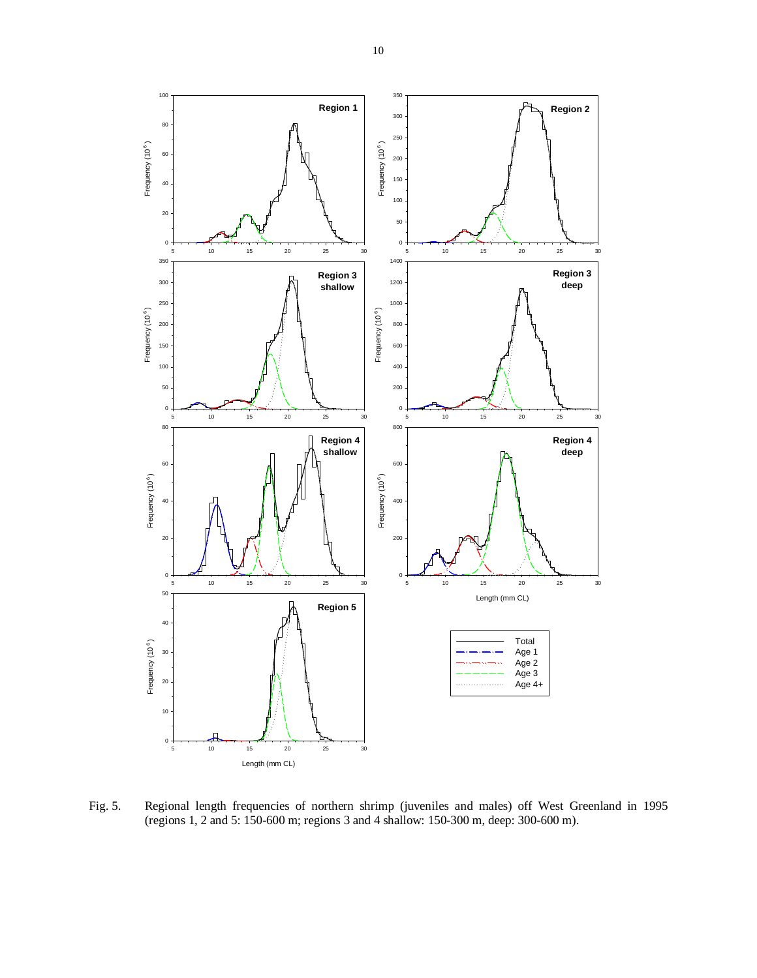

Fig. 5. Regional length frequencies of northern shrimp (juveniles and males) off West Greenland in 1995 (regions 1, 2 and 5: 150-600 m; regions 3 and 4 shallow: 150-300 m, deep: 300-600 m).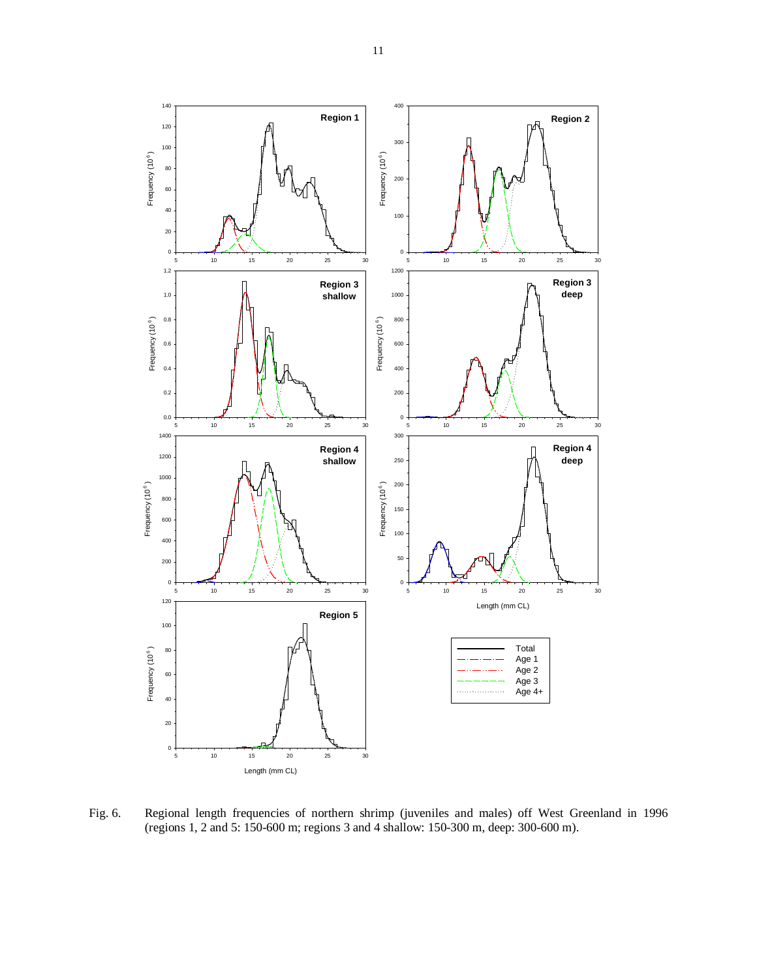

Fig. 6. Regional length frequencies of northern shrimp (juveniles and males) off West Greenland in 1996 (regions 1, 2 and 5: 150-600 m; regions 3 and 4 shallow: 150-300 m, deep: 300-600 m).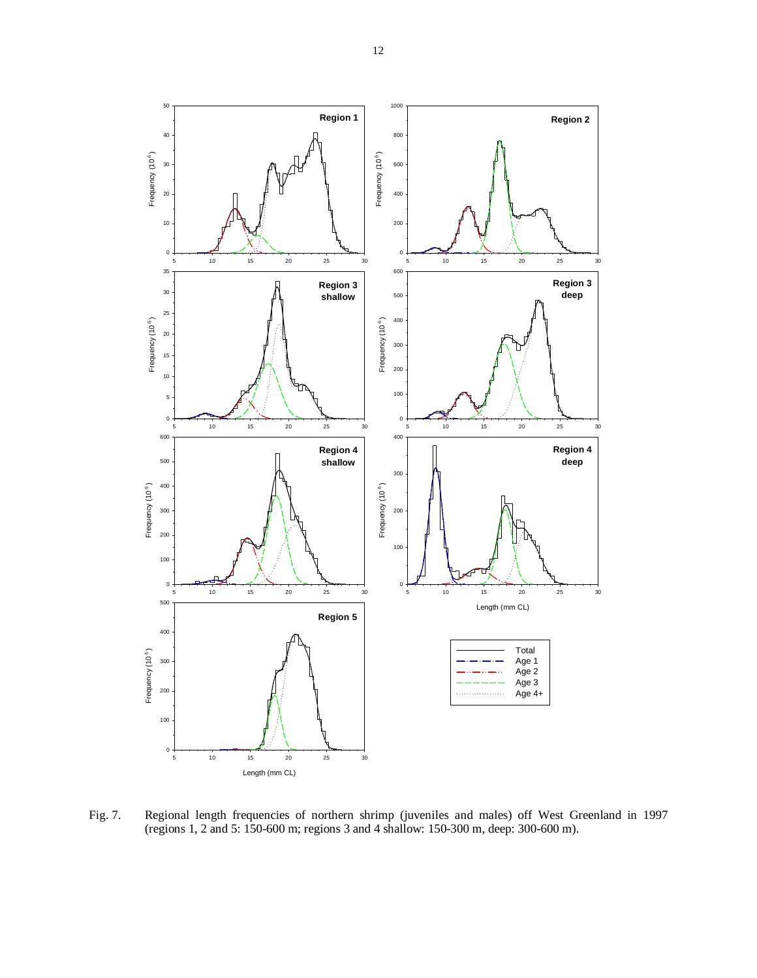

Fig. 7. Regional length frequencies of northern shrimp (juveniles and males) off West Greenland in 1997 (regions 1, 2 and 5: 150-600 m; regions 3 and 4 shallow: 150-300 m, deep: 300-600 m).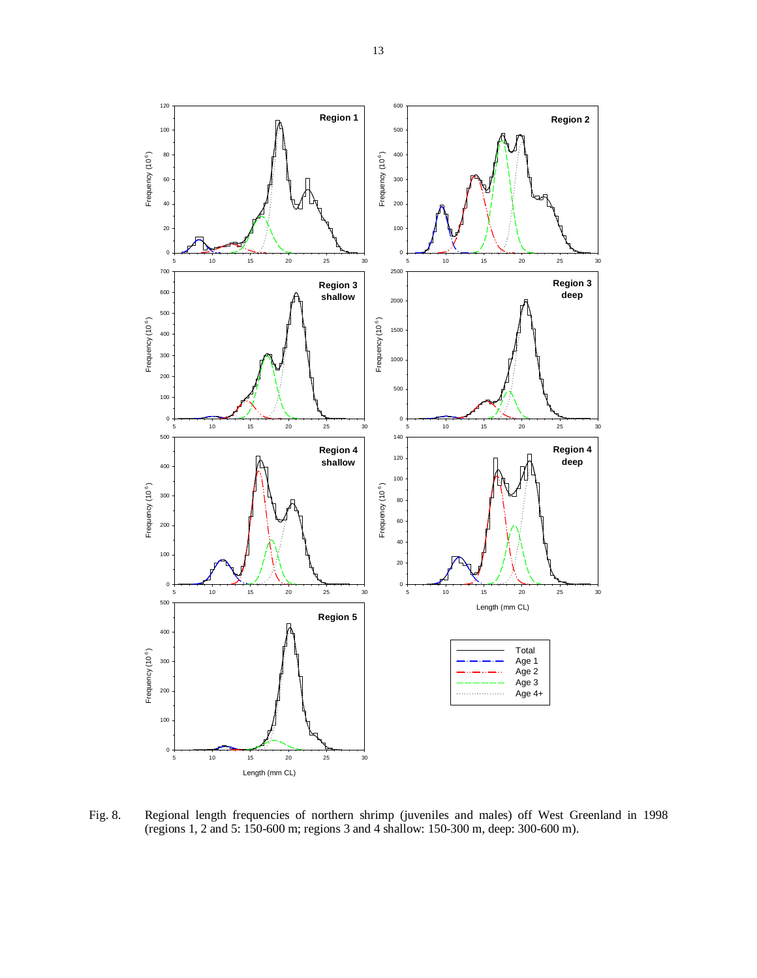

Fig. 8. Regional length frequencies of northern shrimp (juveniles and males) off West Greenland in 1998 (regions 1, 2 and 5: 150-600 m; regions 3 and 4 shallow: 150-300 m, deep: 300-600 m).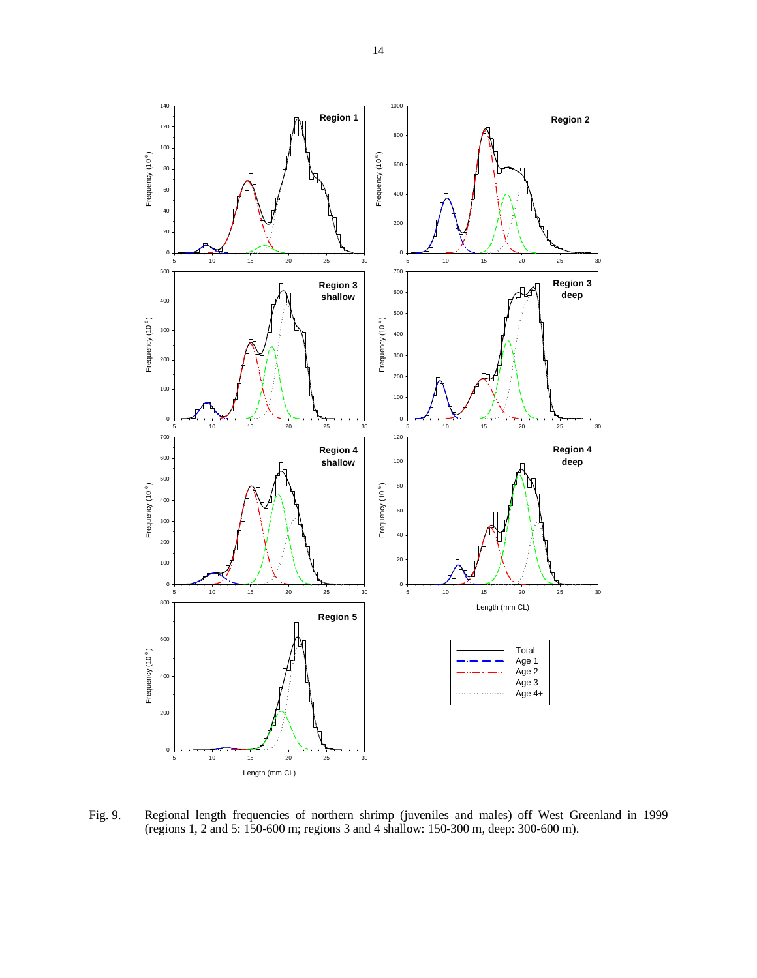

Fig. 9. Regional length frequencies of northern shrimp (juveniles and males) off West Greenland in 1999 (regions 1, 2 and 5: 150-600 m; regions 3 and 4 shallow: 150-300 m, deep: 300-600 m).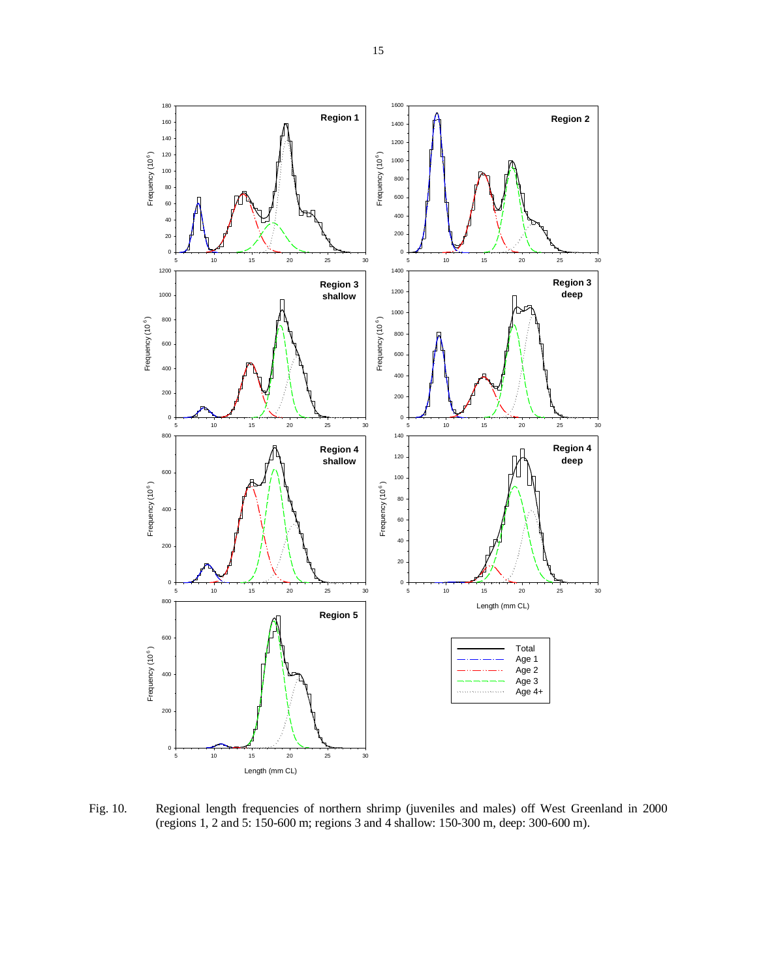

Fig. 10. Regional length frequencies of northern shrimp (juveniles and males) off West Greenland in 2000 (regions 1, 2 and 5: 150-600 m; regions 3 and 4 shallow: 150-300 m, deep: 300-600 m).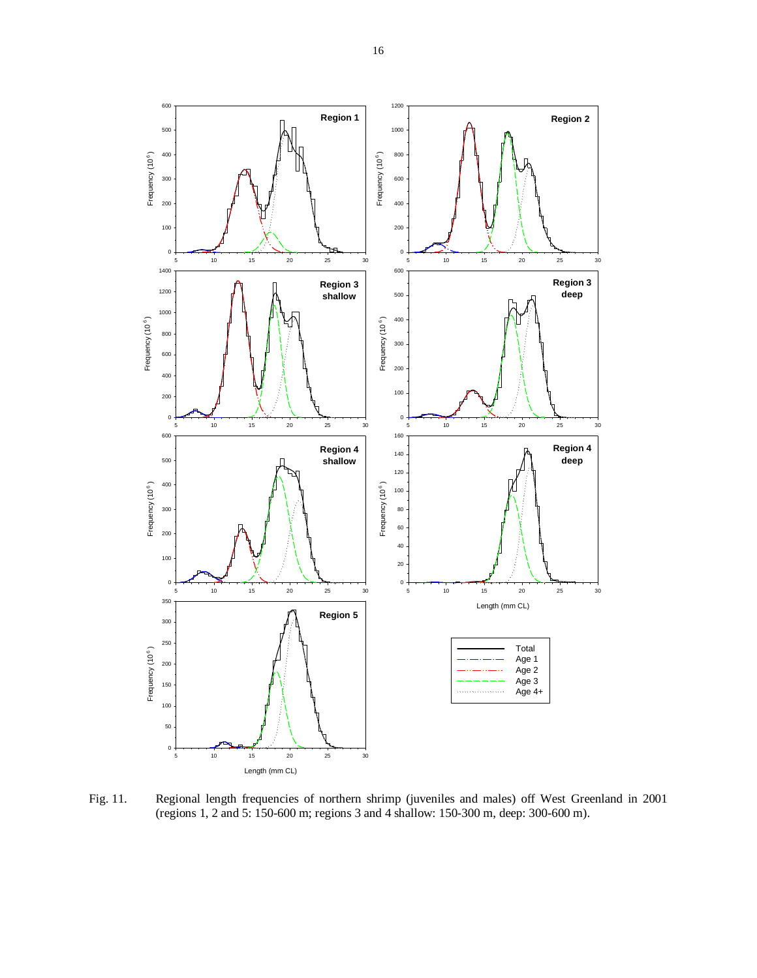

Fig. 11. Regional length frequencies of northern shrimp (juveniles and males) off West Greenland in 2001 (regions 1, 2 and 5: 150-600 m; regions 3 and 4 shallow: 150-300 m, deep: 300-600 m).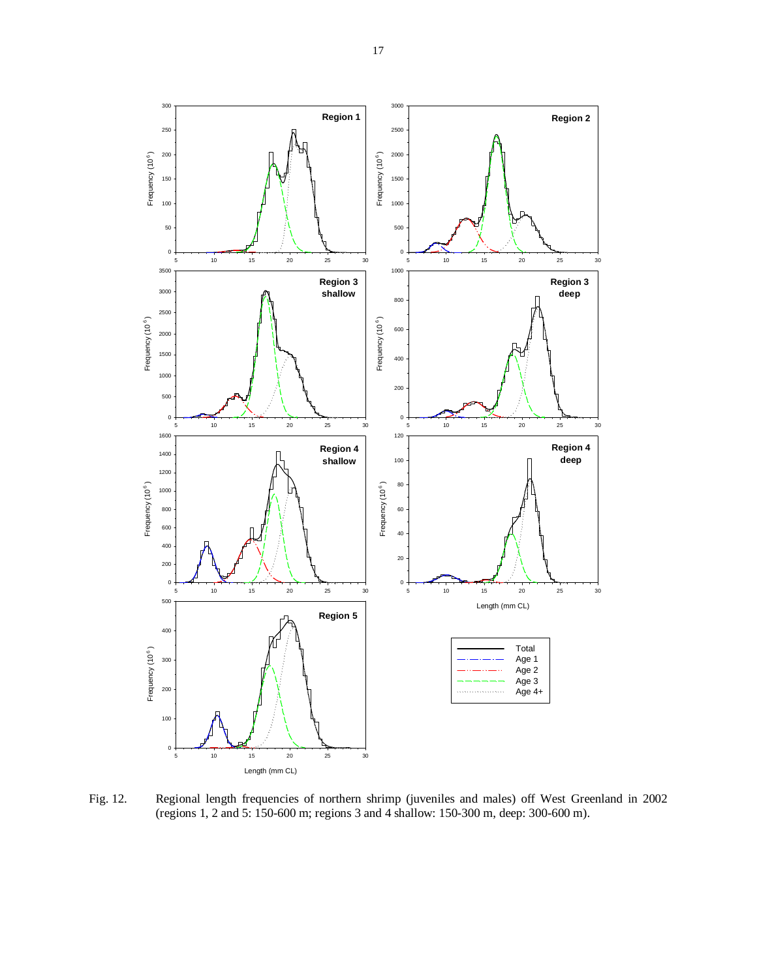

Fig. 12. Regional length frequencies of northern shrimp (juveniles and males) off West Greenland in 2002 (regions 1, 2 and 5: 150-600 m; regions 3 and 4 shallow: 150-300 m, deep: 300-600 m).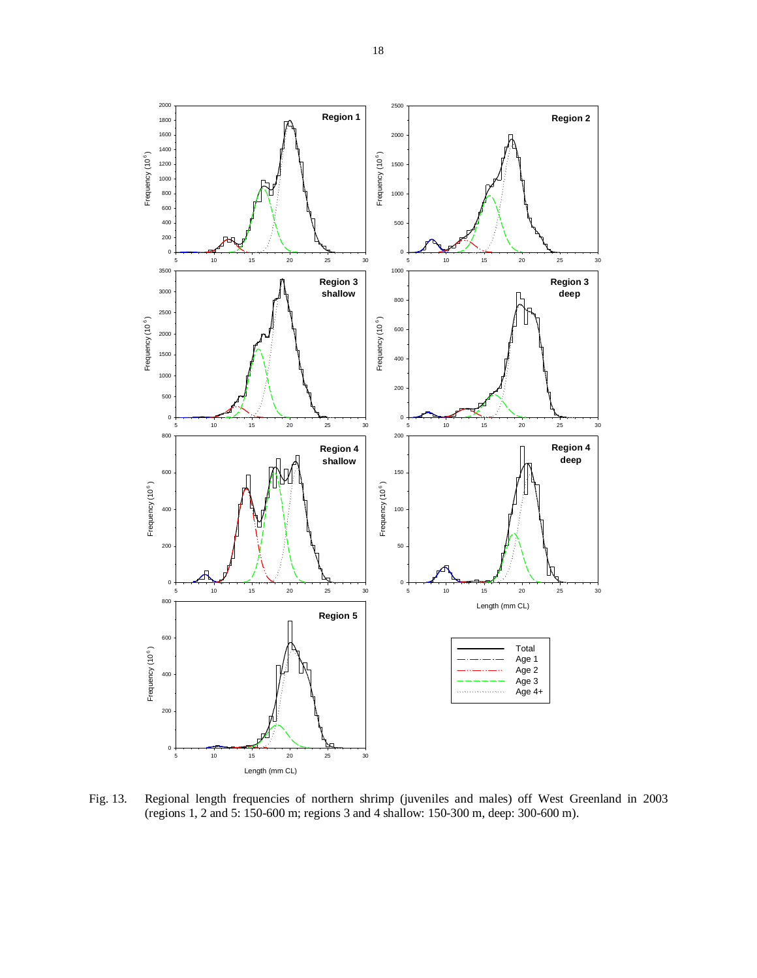

Fig. 13. Regional length frequencies of northern shrimp (juveniles and males) off West Greenland in 2003 (regions 1, 2 and 5: 150-600 m; regions 3 and 4 shallow: 150-300 m, deep: 300-600 m).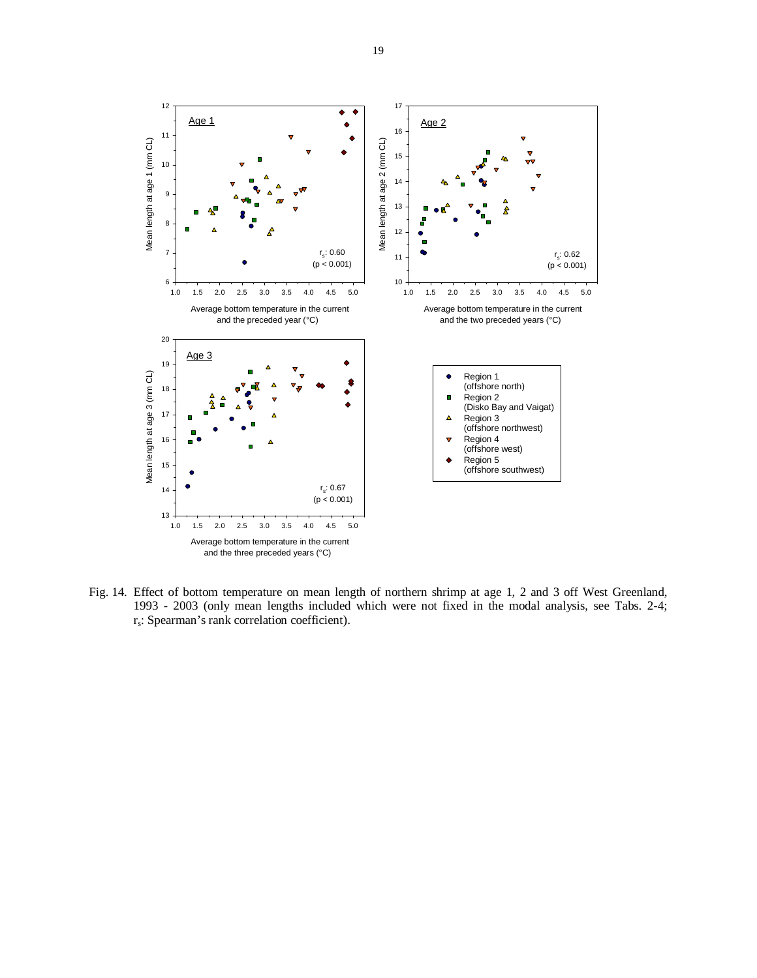

Fig. 14. Effect of bottom temperature on mean length of northern shrimp at age 1, 2 and 3 off West Greenland, 1993 - 2003 (only mean lengths included which were not fixed in the modal analysis, see Tabs. 2-4; rs: Spearman's rank correlation coefficient).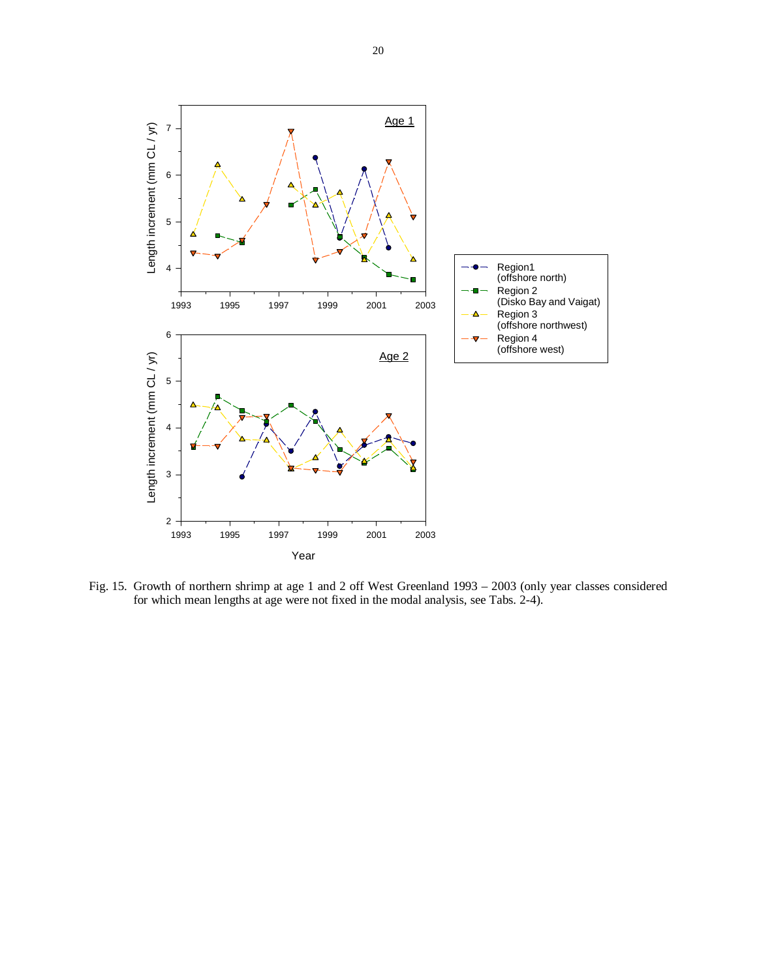

Fig. 15. Growth of northern shrimp at age 1 and 2 off West Greenland 1993 – 2003 (only year classes considered for which mean lengths at age were not fixed in the modal analysis, see Tabs. 2-4).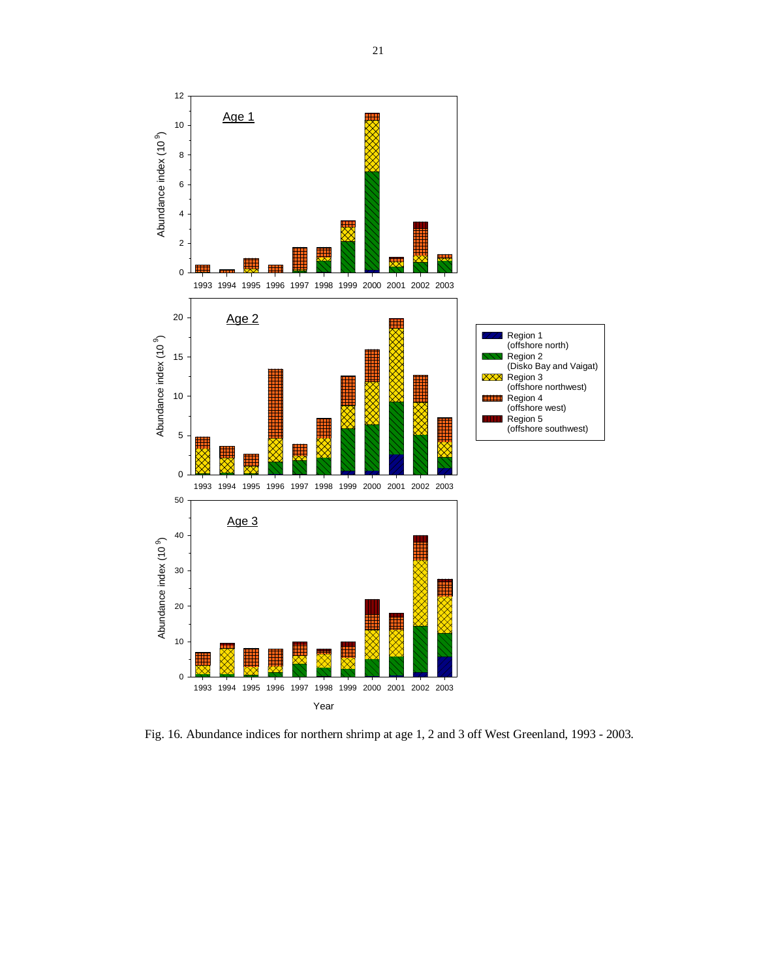

Fig. 16. Abundance indices for northern shrimp at age 1, 2 and 3 off West Greenland, 1993 - 2003.